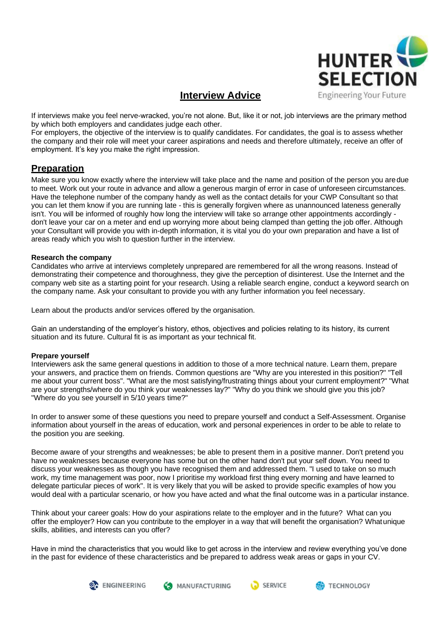

# **Interview Advice**

If interviews make you feel nerve-wracked, you're not alone. But, like it or not, job interviews are the primary method by which both employers and candidates judge each other.

For employers, the objective of the interview is to qualify candidates. For candidates, the goal is to assess whether the company and their role will meet your career aspirations and needs and therefore ultimately, receive an offer of employment. It's key you make the right impression.

## **Preparation**

Make sure you know exactly where the interview will take place and the name and position of the person you aredue to meet. Work out your route in advance and allow a generous margin of error in case of unforeseen circumstances. Have the telephone number of the company handy as well as the contact details for your CWP Consultant so that you can let them know if you are running late - this is generally forgiven where as unannounced lateness generally isn't. You will be informed of roughly how long the interview will take so arrange other appointments accordingly don't leave your car on a meter and end up worrying more about being clamped than getting the job offer. Although your Consultant will provide you with in-depth information, it is vital you do your own preparation and have a list of areas ready which you wish to question further in the interview.

### **Research the company**

Candidates who arrive at interviews completely unprepared are remembered for all the wrong reasons. Instead of demonstrating their competence and thoroughness, they give the perception of disinterest. Use the Internet and the company web site as a starting point for your research. Using a reliable search engine, conduct a keyword search on the company name. Ask your consultant to provide you with any further information you feel necessary.

Learn about the products and/or services offered by the organisation.

Gain an understanding of the employer's history, ethos, objectives and policies relating to its history, its current situation and its future. Cultural fit is as important as your technical fit.

## **Prepare yourself**

Interviewers ask the same general questions in addition to those of a more technical nature. Learn them, prepare your answers, and practice them on friends. Common questions are "Why are you interested in this position?" "Tell me about your current boss". "What are the most satisfying/frustrating things about your current employment?" "What are your strengths/where do you think your weaknesses lay?" "Why do you think we should give you this job? "Where do you see yourself in 5/10 years time?"

In order to answer some of these questions you need to prepare yourself and conduct a Self-Assessment. Organise information about yourself in the areas of education, work and personal experiences in order to be able to relate to the position you are seeking.

Become aware of your strengths and weaknesses; be able to present them in a positive manner. Don't pretend you have no weaknesses because everyone has some but on the other hand don't put your self down. You need to discuss your weaknesses as though you have recognised them and addressed them. "I used to take on so much work, my time management was poor, now I prioritise my workload first thing every morning and have learned to delegate particular pieces of work". It is very likely that you will be asked to provide specific examples of how you would deal with a particular scenario, or how you have acted and what the final outcome was in a particular instance.

Think about your career goals: How do your aspirations relate to the employer and in the future? What can you offer the employer? How can you contribute to the employer in a way that will benefit the organisation? Whatunique skills, abilities, and interests can you offer?

Have in mind the characteristics that you would like to get across in the interview and review everything you've done in the past for evidence of these characteristics and be prepared to address weak areas or gaps in your CV.







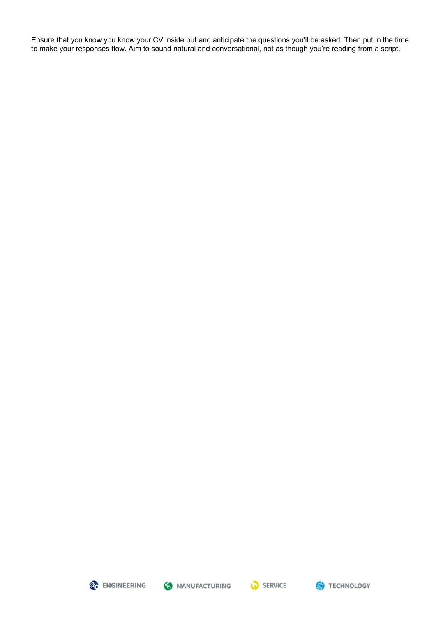Ensure that you know you know your CV inside out and anticipate the questions you'll be asked. Then put in the time to make your responses flow. Aim to sound natural and conversational, not as though you're reading from a script.





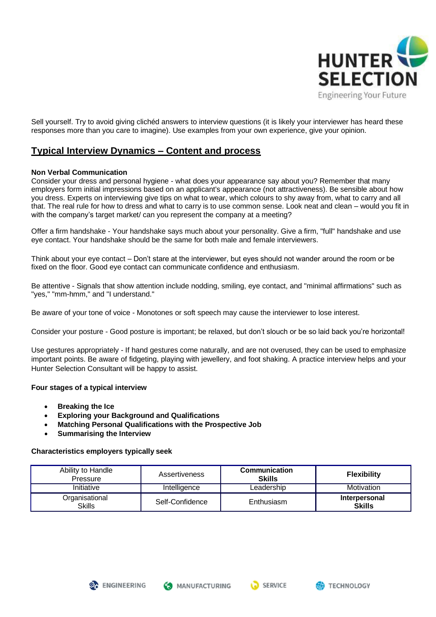

Sell yourself. Try to avoid giving clichéd answers to interview questions (it is likely your interviewer has heard these responses more than you care to imagine). Use examples from your own experience, give your opinion.

## **Typical Interview Dynamics – Content and process**

## **Non Verbal Communication**

Consider your dress and personal hygiene - what does your appearance say about you? Remember that many employers form initial impressions based on an applicant's appearance (not attractiveness). Be sensible about how you dress. Experts on interviewing give tips on what to wear, which colours to shy away from, what to carry and all that. The real rule for how to dress and what to carry is to use common sense. Look neat and clean – would you fit in with the company's target market/ can you represent the company at a meeting?

Offer a firm handshake - Your handshake says much about your personality. Give a firm, "full" handshake and use eye contact. Your handshake should be the same for both male and female interviewers.

Think about your eye contact – Don't stare at the interviewer, but eyes should not wander around the room or be fixed on the floor. Good eye contact can communicate confidence and enthusiasm.

Be attentive - Signals that show attention include nodding, smiling, eye contact, and "minimal affirmations" such as "yes," "mm-hmm," and "I understand."

Be aware of your tone of voice - Monotones or soft speech may cause the interviewer to lose interest.

Consider your posture - Good posture is important; be relaxed, but don't slouch or be so laid back you're horizontal!

Use gestures appropriately - If hand gestures come naturally, and are not overused, they can be used to emphasize important points. Be aware of fidgeting, playing with jewellery, and foot shaking. A practice interview helps and your Hunter Selection Consultant will be happy to assist.

### **Four stages of a typical interview**

- **Breaking the Ice**
- **Exploring your Background and Qualifications**
- **Matching Personal Qualifications with the Prospective Job**
- **Summarising the Interview**

### **Characteristics employers typically seek**

| Ability to Handle<br>Pressure   | Assertiveness   | Communication<br><b>Skills</b> | <b>Flexibility</b>             |
|---------------------------------|-----------------|--------------------------------|--------------------------------|
| Initiative                      | Intelligence    | Leadership                     | Motivation                     |
| Organisational<br><b>Skills</b> | Self-Confidence | Enthusiasm                     | Interpersonal<br><b>Skills</b> |



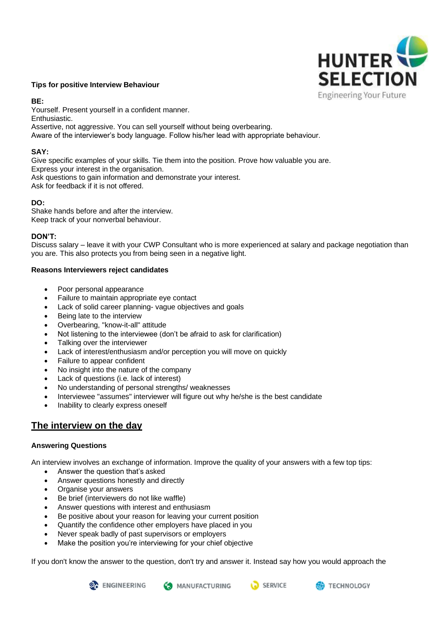

### **Tips for positive Interview Behaviour**

## **BE:**

Yourself. Present yourself in a confident manner. Enthusiastic.

Assertive, not aggressive. You can sell yourself without being overbearing.

Aware of the interviewer's body language. Follow his/her lead with appropriate behaviour.

## **SAY:**

Give specific examples of your skills. Tie them into the position. Prove how valuable you are. Express your interest in the organisation. Ask questions to gain information and demonstrate your interest. Ask for feedback if it is not offered.

## **DO:**

Shake hands before and after the interview. Keep track of your nonverbal behaviour.

## **DON'T:**

Discuss salary – leave it with your CWP Consultant who is more experienced at salary and package negotiation than you are. This also protects you from being seen in a negative light.

## **Reasons Interviewers reject candidates**

- Poor personal appearance
- Failure to maintain appropriate eye contact
- Lack of solid career planning- vague objectives and goals
- Being late to the interview
- Overbearing, "know-it-all" attitude
- Not listening to the interviewee (don't be afraid to ask for clarification)
- Talking over the interviewer
- Lack of interest/enthusiasm and/or perception you will move on quickly
- Failure to appear confident
- No insight into the nature of the company
- Lack of questions (i.e. lack of interest)
- No understanding of personal strengths/ weaknesses
- Interviewee "assumes" interviewer will figure out why he/she is the best candidate
- Inability to clearly express oneself

## **The interview on the day**

## **Answering Questions**

An interview involves an exchange of information. Improve the quality of your answers with a few top tips:

- Answer the question that's asked
- Answer questions honestly and directly
- Organise your answers
- Be brief (interviewers do not like waffle)
- Answer questions with interest and enthusiasm
- Be positive about your reason for leaving your current position
- Quantify the confidence other employers have placed in you
- Never speak badly of past supervisors or employers
- Make the position you're interviewing for your chief objective

If you don't know the answer to the question, don't try and answer it. Instead say how you would approach the



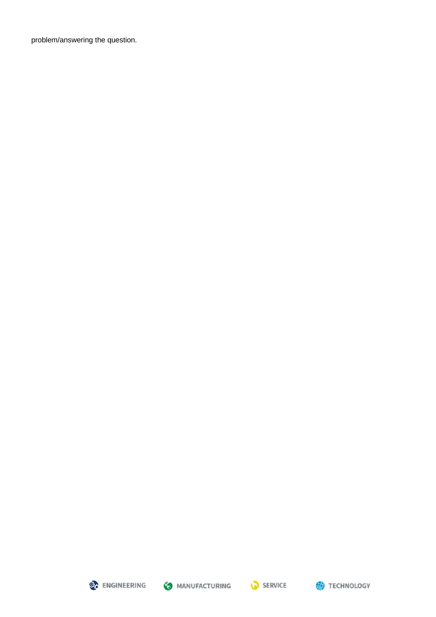problem/answering the question.







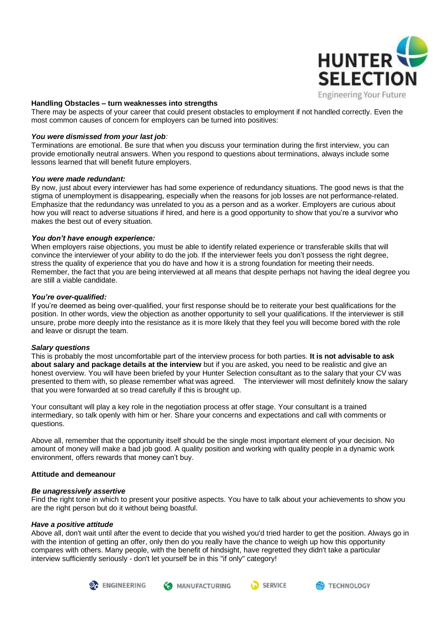

### **Handling Obstacles – turn weaknesses into strengths**

There may be aspects of your career that could present obstacles to employment if not handled correctly. Even the most common causes of concern for employers can be turned into positives:

### *You were dismissed from your last job:*

Terminations are emotional. Be sure that when you discuss your termination during the first interview, you can provide emotionally neutral answers. When you respond to questions about terminations, always include some lessons learned that will benefit future employers.

#### *You were made redundant:*

By now, just about every interviewer has had some experience of redundancy situations. The good news is that the stigma of unemployment is disappearing, especially when the reasons for job losses are not performance-related. Emphasize that the redundancy was unrelated to you as a person and as a worker. Employers are curious about how you will react to adverse situations if hired, and here is a good opportunity to show that you're a survivor who makes the best out of every situation.

### *You don't have enough experience:*

When employers raise objections, you must be able to identify related experience or transferable skills that will convince the interviewer of your ability to do the job. If the interviewer feels you don't possess the right degree, stress the quality of experience that you do have and how it is a strong foundation for meeting their needs. Remember, the fact that you are being interviewed at all means that despite perhaps not having the ideal degree you are still a viable candidate.

### *You're over-qualified:*

If you're deemed as being over-qualified, your first response should be to reiterate your best qualifications for the position. In other words, view the objection as another opportunity to sell your qualifications. If the interviewer is still unsure, probe more deeply into the resistance as it is more likely that they feel you will become bored with the role and leave or disrupt the team.

#### *Salary questions*

This is probably the most uncomfortable part of the interview process for both parties. **It is not advisable to ask about salary and package details at the interview** but if you are asked, you need to be realistic and give an honest overview. You will have been briefed by your Hunter Selection consultant as to the salary that your CV was presented to them with, so please remember what was agreed. The interviewer will most definitely know the salary that you were forwarded at so tread carefully if this is brought up.

Your consultant will play a key role in the negotiation process at offer stage. Your consultant is a trained intermediary, so talk openly with him or her. Share your concerns and expectations and call with comments or questions.

Above all, remember that the opportunity itself should be the single most important element of your decision. No amount of money will make a bad job good. A quality position and working with quality people in a dynamic work environment, offers rewards that money can't buy.

### **Attitude and demeanour**

### *Be unagressively assertive*

Find the right tone in which to present your positive aspects. You have to talk about your achievements to show you are the right person but do it without being boastful.

### *Have a positive attitude*

Above all, don't wait until after the event to decide that you wished you'd tried harder to get the position. Always go in with the intention of getting an offer, only then do you really have the chance to weigh up how this opportunity compares with others. Many people, with the benefit of hindsight, have regretted they didn't take a particular interview sufficiently seriously - don't let yourself be in this "if only" category!